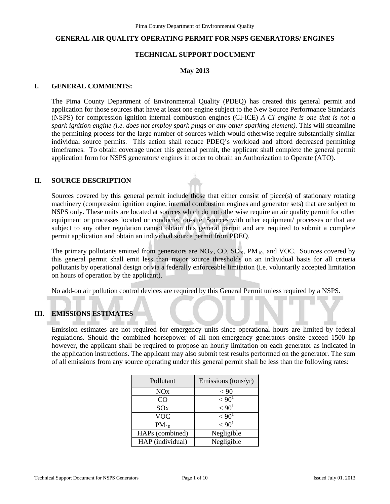#### **GENERAL AIR QUALITY OPERATING PERMIT FOR NSPS GENERATORS/ ENGINES**

## **TECHNICAL SUPPORT DOCUMENT**

#### **May 2013**

#### **I. GENERAL COMMENTS:**

The Pima County Department of Environmental Quality (PDEQ) has created this general permit and application for those sources that have at least one engine subject to the New Source Performance Standards (NSPS) for compression ignition internal combustion engines (CI-ICE) *A CI engine is one that is not a spark ignition engine (i.e. does not employ spark plugs or any other sparking element)*. This will streamline the permitting process for the large number of sources which would otherwise require substantially similar individual source permits. This action shall reduce PDEQ's workload and afford decreased permitting timeframes. To obtain coverage under this general permit, the applicant shall complete the general permit application form for NSPS generators/ engines in order to obtain an Authorization to Operate (ATO).

#### **II. SOURCE DESCRIPTION**

Sources covered by this general permit include those that either consist of piece(s) of stationary rotating machinery (compression ignition engine, internal combustion engines and generator sets) that are subject to NSPS only. These units are located at sources which do not otherwise require an air quality permit for other equipment or processes located or conducted on-site. Sources with other equipment/ processes or that are subject to any other regulation cannot obtain this general permit and are required to submit a complete permit application and obtain an individual source permit from PDEQ.

The primary pollutants emitted from generators are  $NO<sub>x</sub>$ , CO,  $SO<sub>x</sub>$ , PM<sub>10</sub>, and VOC. Sources covered by this general permit shall emit less than major source thresholds on an individual basis for all criteria pollutants by operational design or via a federally enforceable limitation (i.e. voluntarily accepted limitation on hours of operation by the applicant).

No add-on air pollution control devices are required by this General Permit unless required by a NSPS.

## **III. EMISSIONS ESTIMATES**

Emission estimates are not required for emergency units since operational hours are limited by federal regulations. Should the combined horsepower of all non-emergency generators onsite exceed 1500 hp however, the applicant shall be required to propose an hourly limitation on each generator as indicated in the application instructions. The applicant may also submit test results performed on the generator. The sum of all emissions from any source operating under this general permit shall be less than the following rates:

| Pollutant        | Emissions (tons/yr) |
|------------------|---------------------|
| NOx              | < 90                |
| CO               | < 90 <sup>1</sup>   |
| SOX              | < 90 <sup>1</sup>   |
| VOC              | ${<}901$            |
| $PM_{10}$        | < 90 <sup>1</sup>   |
| HAPs (combined)  | Negligible          |
| HAP (individual) | Negligible          |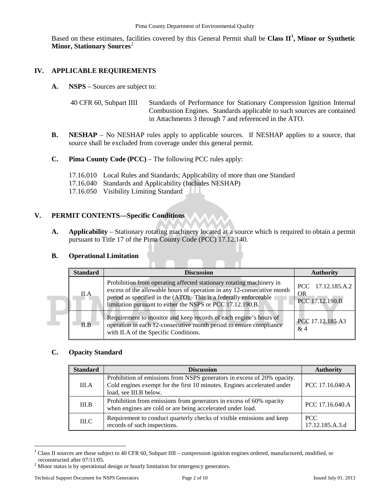Based on these estimates, facilities covered by this General Permit shall be **Class II[1](#page-1-0) , Minor or Synthetic Minor, Stationary Sources**<sup>[2](#page-1-1)</sup>

## **IV. APPLICABLE REQUIREMENTS**

**A. NSPS** – Sources are subject to:

```
40 CFR 60, Subpart IIII Standards of Performance for Stationary Compression Ignition Internal 
              Combustion Engines. Standards applicable to such sources are contained 
              in Attachments 3 through 7 and referenced in the ATO.
```
- **B. NESHAP** No NESHAP rules apply to applicable sources. If NESHAP applies to a source, that source shall be excluded from coverage under this general permit.
- **C. Pima County Code (PCC)**  The following PCC rules apply:
	- 17.16.010 Local Rules and Standards; Applicability of more than one Standard
	- 17.16.040 Standards and Applicability (Includes NESHAP)
	- 17.16.050 Visibility Limiting Standard

#### **V. PERMIT CONTENTS—Specific Conditions**

**A. Applicability** – Stationary rotating machinery located at a source which is required to obtain a permit pursuant to Title 17 of the Pima County Code (PCC) 17.12.140.

## **B. Operational Limitation**

| <b>Standard</b> | <b>Discussion</b>                                                                                                                                                                                                                                                                 | <b>Authority</b>                           |
|-----------------|-----------------------------------------------------------------------------------------------------------------------------------------------------------------------------------------------------------------------------------------------------------------------------------|--------------------------------------------|
| II.A            | Prohibition from operating affected stationary rotating machinery in<br>excess of the allowable hours of operation in any 12-consecutive month<br>period as specified in the (ATO). This is a federally enforceable<br>limitation pursuant to either the NSPS or PCC 17.12.190.B. | PCC 17.12.185.A.2<br>OR<br>PCC 17.12.190.B |
| II.B            | Requirement to monitor and keep records of each engine's hours of<br>operation in each 12-consecutive month period to ensure compliance<br>with II.A of the Specific Conditions.                                                                                                  | PCC 17.12.185.A3<br>&4                     |

#### **C. Opacity Standard**

| <b>Standard</b> | <b>Discussion</b>                                                                                                                                                            | <b>Authority</b>              |
|-----------------|------------------------------------------------------------------------------------------------------------------------------------------------------------------------------|-------------------------------|
| III.A           | Prohibition of emissions from NSPS generators in excess of 20% opacity.<br>Cold engines exempt for the first 10 minutes. Engines accelerated under<br>load, see III.B below. | PCC 17.16.040.A               |
| III.B           | Prohibition from emissions from generators in excess of 60% opacity<br>when engines are cold or are being accelerated under load.                                            | PCC 17.16.040.A               |
| $\rm IILC$      | Requirement to conduct quarterly checks of visible emissions and keep<br>records of such inspections.                                                                        | <b>PCC</b><br>17.12.185.A.3.d |

<span id="page-1-0"></span><sup>&</sup>lt;sup>1</sup> Class II sources are those subject to 40 CFR 60, Subpart IIII – compression ignition engines ordered, manufactured, modified, or reconstructed after 07/11/05.  $\overline{a}$ 

<span id="page-1-1"></span> $2$  Minor status is by operational design or hourly limitation for emergency generators.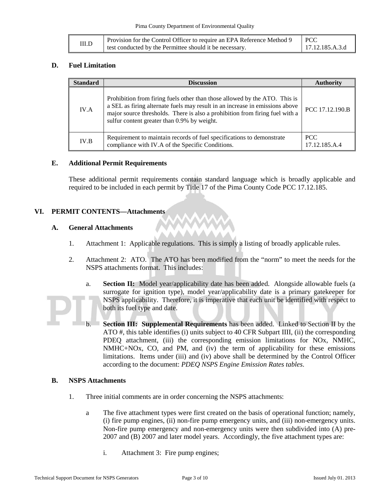| III.D | Provision for the Control Officer to require an EPA Reference Method 9 | I PCC           |
|-------|------------------------------------------------------------------------|-----------------|
|       | test conducted by the Permittee should it be necessary.                | 17.12.185.A.3.d |

#### **D. Fuel Limitation**

| <b>Standard</b> | <b>Discussion</b>                                                                                                                                                                                                                                                                         | Authority             |
|-----------------|-------------------------------------------------------------------------------------------------------------------------------------------------------------------------------------------------------------------------------------------------------------------------------------------|-----------------------|
| IV.A            | Prohibition from firing fuels other than those allowed by the ATO. This is<br>a SEL as firing alternate fuels may result in an increase in emissions above<br>major source thresholds. There is also a prohibition from firing fuel with a<br>sulfur content greater than 0.9% by weight. | PCC 17.12.190.B       |
| IV.B            | Requirement to maintain records of fuel specifications to demonstrate<br>compliance with IV.A of the Specific Conditions.                                                                                                                                                                 | PCC.<br>17.12.185.A.4 |

#### **E. Additional Permit Requirements**

These additional permit requirements contain standard language which is broadly applicable and required to be included in each permit by Title 17 of the Pima County Code PCC 17.12.185.

## **VI. PERMIT CONTENTS—Attachments**

#### **A. General Attachments**

- 1. Attachment 1: Applicable regulations. This is simply a listing of broadly applicable rules.
- 2. Attachment 2: ATO. The ATO has been modified from the "norm" to meet the needs for the NSPS attachments format. This includes:
	- a. **Section II:** Model year/applicability date has been added. Alongside allowable fuels (a surrogate for ignition type), model year/applicability date is a primary gatekeeper for NSPS applicability. Therefore, it is imperative that each unit be identified with respect to both its fuel type and date.
	- b. **Section III: Supplemental Requirements** has been added. Linked to Section II by the ATO #, this table identifies (i) units subject to 40 CFR Subpart IIII, (ii) the corresponding PDEQ attachment, (iii) the corresponding emission limitations for NOx, NMHC, NMHC+NOx, CO, and PM, and (iv) the term of applicability for these emissions limitations. Items under (iii) and (iv) above shall be determined by the Control Officer according to the document: *PDEQ NSPS Engine Emission Rates tables*.

## **B. NSPS Attachments**

- 1. Three initial comments are in order concerning the NSPS attachments:
	- a The five attachment types were first created on the basis of operational function; namely, (i) fire pump engines, (ii) non-fire pump emergency units, and (iii) non-emergency units. Non-fire pump emergency and non-emergency units were then subdivided into (A) pre-2007 and (B) 2007 and later model years. Accordingly, the five attachment types are:
		- i. Attachment 3: Fire pump engines;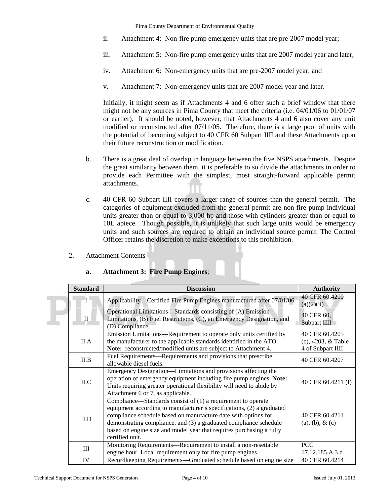Pima County Department of Environmental Quality

- ii. Attachment 4: Non-fire pump emergency units that are pre-2007 model year;
- iii. Attachment 5: Non-fire pump emergency units that are 2007 model year and later;
- iv. Attachment 6: Non-emergency units that are pre-2007 model year; and
- v. Attachment 7: Non-emergency units that are 2007 model year and later.

Initially, it might seem as if Attachments 4 and 6 offer such a brief window that there might not be any sources in Pima County that meet the criteria (i.e. 04/01/06 to 01/01/07 or earlier). It should be noted, however, that Attachments 4 and 6 also cover any unit modified or reconstructed after 07/11/05. Therefore, there is a large pool of units with the potential of becoming subject to 40 CFR 60 Subpart IIII and these Attachments upon their future reconstruction or modification.

- b. There is a great deal of overlap in language between the five NSPS attachments. Despite the great similarity between them, it is preferable to so divide the attachments in order to provide each Permittee with the simplest, most straight-forward applicable permit attachments.
- c. 40 CFR 60 Subpart IIII covers a larger range of sources than the general permit. The categories of equipment excluded from the general permit are non-fire pump individual units greater than or equal to 3,000 hp and those with cylinders greater than or equal to 10L apiece. Though possible, it is unlikely that such large units would be emergency units and such sources are required to obtain an individual source permit. The Control Officer retains the discretion to make exceptions to this prohibition.
- 2. Attachment Contents

| <b>Standard</b> | <b>Discussion</b>                                                                                                                                                                                                                                                                                                                                                         | <b>Authority</b>                                               |
|-----------------|---------------------------------------------------------------------------------------------------------------------------------------------------------------------------------------------------------------------------------------------------------------------------------------------------------------------------------------------------------------------------|----------------------------------------------------------------|
| $\mathbf{I}$    | Applicability—Certified Fire Pump Engines manufactured after 07/01/06                                                                                                                                                                                                                                                                                                     | 40 CFR 60.4200<br>(a)(2)(ii)                                   |
| $\mathbf{I}$    | Operational Limitations—Standards consisting of (A) Emission<br>Limitations, (B) Fuel Restrictions, (C), an Emergency Designation, and<br>(D) Compliance.                                                                                                                                                                                                                 | 40 CFR 60,<br>Subpart IIII                                     |
| II.A            | Emission Limitations—Requirement to operate only units certified by<br>the manufacturer to the applicable standards identified in the ATO.<br>Note: reconstructed/modified units are subject to Attachment 4.                                                                                                                                                             | 40 CFR 60.4205<br>$(c)$ , 4203, $&$ Table<br>4 of Subpart IIII |
| II.B            | Fuel Requirements—Requirements and provisions that prescribe<br>allowable diesel fuels.                                                                                                                                                                                                                                                                                   | 40 CFR 60.4207                                                 |
| ILC             | Emergency Designation-Limitations and provisions affecting the<br>operation of emergency equipment including fire pump engines. Note:<br>Units requiring greater operational flexibility will need to abide by<br>Attachment 6 or 7, as applicable.                                                                                                                       | 40 CFR 60.4211 (f)                                             |
| II.D            | Compliance—Standards consist of $(1)$ a requirement to operate<br>equipment according to manufacturer's specifications, (2) a graduated<br>compliance schedule based on manufacture date with options for<br>demonstrating compliance, and (3) a graduated compliance schedule<br>based on engine size and model year that requires purchasing a fully<br>certified unit. | 40 CFR 60.4211<br>$(a), (b), \& (c)$                           |
| III             | Monitoring Requirements—Requirement to install a non-resettable<br>engine hour. Local requirement only for fire pump engines                                                                                                                                                                                                                                              | <b>PCC</b><br>17.12.185.A.3.d                                  |
| IV              | Recordkeeping Requirements—Graduated schedule based on engine size                                                                                                                                                                                                                                                                                                        | 40 CFR 60.4214                                                 |

# **a. Attachment 3: Fire Pump Engines**;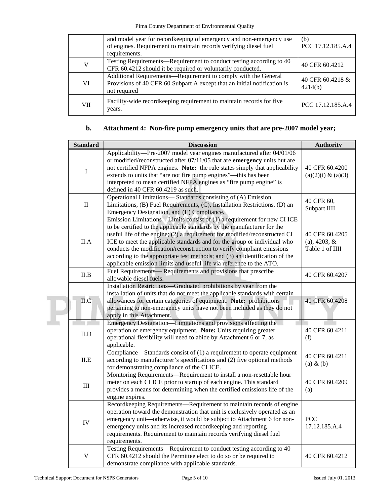|            | and model year for record keeping of emergency and non-emergency use<br>of engines. Requirement to maintain records verifying diesel fuel<br>requirements. | (b)<br>PCC 17.12.185.A.4    |
|------------|------------------------------------------------------------------------------------------------------------------------------------------------------------|-----------------------------|
| V          | Testing Requirements—Requirement to conduct testing according to 40<br>CFR 60.4212 should it be required or voluntarily conducted.                         | 40 CFR 60.4212              |
| VI         | Additional Requirements—Requirement to comply with the General<br>Provisions of 40 CFR 60 Subpart A except that an initial notification is<br>not required | 40 CFR 60.4218 &<br>4214(b) |
| <b>VII</b> | Facility-wide recordkeeping requirement to maintain records for five<br>years.                                                                             | PCC 17.12.185.A.4           |

# **b. Attachment 4: Non-fire pump emergency units that are pre-2007 model year;**

|  | <b>Standard</b> | <b>Discussion</b>                                                                                                                                                                                                                                                                                                                                                                                                                                                                                                                             | <b>Authority</b>                                     |
|--|-----------------|-----------------------------------------------------------------------------------------------------------------------------------------------------------------------------------------------------------------------------------------------------------------------------------------------------------------------------------------------------------------------------------------------------------------------------------------------------------------------------------------------------------------------------------------------|------------------------------------------------------|
|  | $\bf I$         | Applicability—Pre-2007 model year engines manufactured after 04/01/06<br>or modified/reconstructed after $07/11/05$ that are <b>emergency</b> units but are<br>not certified NFPA engines. Note: the rule states simply that applicability<br>extends to units that "are not fire pump engines"—this has been<br>interpreted to mean certified NFPA engines as "fire pump engine" is<br>defined in 40 CFR 60.4219 as such.                                                                                                                    | 40 CFR 60.4200<br>$(a)(2)(i) \& (a)(3)$              |
|  | $\rm II$        | Operational Limitations-Standards consisting of (A) Emission<br>Limitations, (B) Fuel Requirements, (C), Installation Restrictions, (D) an<br>Emergency Designation, and (E) Compliance.                                                                                                                                                                                                                                                                                                                                                      | 40 CFR 60,<br>Subpart IIII                           |
|  | II.A            | Emission Limitations—Limits consist of (1) a requirement for new CI ICE<br>to be certified to the applicable standards by the manufacturer for the<br>useful life of the engine; (2) a requirement for modified/reconstructed CI<br>ICE to meet the applicable standards and for the group or individual who<br>conducts the modification/reconstruction to verify compliant emissions<br>according to the appropriate test methods; and (3) an identification of the<br>applicable emission limits and useful life via reference to the ATO. | 40 CFR 60.4205<br>$(a)$ , 4203, &<br>Table 1 of IIII |
|  | II.B            | Fuel Requirements— Requirements and provisions that prescribe<br>allowable diesel fuels.                                                                                                                                                                                                                                                                                                                                                                                                                                                      | 40 CFR 60.4207                                       |
|  | II.C            | Installation Restrictions—Graduated prohibitions by year from the<br>installation of units that do not meet the applicable standards with certain<br>allowances for certain categories of equipment. Note: prohibitions<br>pertaining to non-emergency units have not been included as they do not<br>apply in this Attachment.                                                                                                                                                                                                               | 40 CFR 60.4208                                       |
|  | II.D            | Emergency Designation-Limitations and provisions affecting the<br>operation of emergency equipment. Note: Units requiring greater<br>operational flexibility will need to abide by Attachment 6 or 7, as<br>applicable.                                                                                                                                                                                                                                                                                                                       | 40 CFR 60.4211<br>(f)                                |
|  | ILE             | Compliance—Standards consist of (1) a requirement to operate equipment<br>according to manufacturer's specifications and (2) five optional methods<br>for demonstrating compliance of the CI ICE.                                                                                                                                                                                                                                                                                                                                             | 40 CFR 60.4211<br>$(a)$ & $(b)$                      |
|  | $\rm III$       | Monitoring Requirements—Requirement to install a non-resettable hour<br>meter on each CI ICE prior to startup of each engine. This standard<br>provides a means for determining when the certified emissions life of the<br>engine expires.                                                                                                                                                                                                                                                                                                   | 40 CFR 60.4209<br>(a)                                |
|  | IV              | Recordkeeping Requirements-Requirement to maintain records of engine<br>operation toward the demonstration that unit is exclusively operated as an<br>emergency unit—otherwise, it would be subject to Attachment 6 for non-<br>emergency units and its increased recordkeeping and reporting<br>requirements. Requirement to maintain records verifying diesel fuel<br>requirements.                                                                                                                                                         | <b>PCC</b><br>17.12.185.A.4                          |
|  | V               | Testing Requirements-Requirement to conduct testing according to 40<br>CFR 60.4212 should the Permittee elect to do so or be required to<br>demonstrate compliance with applicable standards.                                                                                                                                                                                                                                                                                                                                                 | 40 CFR 60.4212                                       |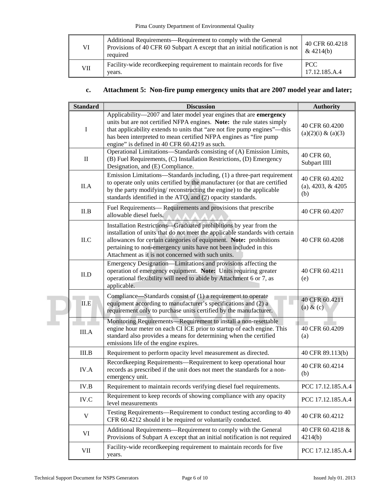| VI         | Additional Requirements—Requirement to comply with the General<br>Provisions of 40 CFR 60 Subpart A except that an initial notification is not<br>required | 40 CFR 60.4218<br>& $4214(b)$ |
|------------|------------------------------------------------------------------------------------------------------------------------------------------------------------|-------------------------------|
| <b>VII</b> | Facility-wide recordkeeping requirement to maintain records for five<br>vears.                                                                             | <b>PCC</b><br>17.12.185.A.4   |

# **c. Attachment 5: Non-fire pump emergency units that are 2007 model year and later;**

| <b>Standard</b> | <b>Discussion</b>                                                                                                                                                                                                                                                                                                                                 | <b>Authority</b>                             |
|-----------------|---------------------------------------------------------------------------------------------------------------------------------------------------------------------------------------------------------------------------------------------------------------------------------------------------------------------------------------------------|----------------------------------------------|
| I               | Applicability-2007 and later model year engines that are emergency<br>units but are not certified NFPA engines. Note: the rule states simply<br>that applicability extends to units that "are not fire pump engines"—this<br>has been interpreted to mean certified NFPA engines as "fire pump<br>engine" is defined in 40 CFR 60.4219 as such.   | 40 CFR 60.4200<br>$(a)(2)(i) \& (a)(3)$      |
| $\mathbf{I}$    | Operational Limitations-Standards consisting of (A) Emission Limits,<br>(B) Fuel Requirements, (C) Installation Restrictions, (D) Emergency<br>Designation, and (E) Compliance.                                                                                                                                                                   | 40 CFR 60,<br>Subpart IIII                   |
| II.A            | Emission Limitations—Standards including, (1) a three-part requirement<br>to operate only units certified by the manufacturer (or that are certified<br>by the party modifying/ reconstructing the engine) to the applicable<br>standards identified in the ATO, and (2) opacity standards.                                                       | 40 CFR 60.4202<br>(a), 4203, $&$ 4205<br>(b) |
| II.B            | Fuel Requirements— Requirements and provisions that prescribe<br>allowable diesel fuels.                                                                                                                                                                                                                                                          | 40 CFR 60.4207                               |
| ILC             | Installation Restrictions-Graduated prohibitions by year from the<br>installation of units that do not meet the applicable standards with certain<br>allowances for certain categories of equipment. Note: prohibitions<br>pertaining to non-emergency units have not been included in this<br>Attachment as it is not concerned with such units. | 40 CFR 60.4208                               |
| II.D            | Emergency Designation—Limitations and provisions affecting the<br>operation of emergency equipment. Note: Units requiring greater<br>operational flexibility will need to abide by Attachment 6 or 7, as<br>applicable.                                                                                                                           | 40 CFR 60.4211<br>(e)                        |
| ILE             | Compliance—Standards consist of (1) a requirement to operate<br>equipment according to manufacturer's specifications and (2) a<br>requirement only to purchase units certified by the manufacturer.                                                                                                                                               | 40 CFR 60.4211<br>(a) $\&$ (c)               |
| III.A           | Monitoring Requirements—Requirement to install a non-resettable<br>engine hour meter on each CI ICE prior to startup of each engine. This<br>standard also provides a means for determining when the certified<br>emissions life of the engine expires.                                                                                           | 40 CFR 60.4209<br>(a)                        |
| III.B           | Requirement to perform opacity level measurement as directed.                                                                                                                                                                                                                                                                                     | 40 CFR 89.113(b)                             |
| IV.A            | Recordkeeping Requirements-Requirement to keep operational hour<br>records as prescribed if the unit does not meet the standards for a non-<br>emergency unit.                                                                                                                                                                                    | 40 CFR 60.4214<br>(b)                        |
| IV.B            | Requirement to maintain records verifying diesel fuel requirements.                                                                                                                                                                                                                                                                               | PCC 17.12.185.A.4                            |
| IV.C            | Requirement to keep records of showing compliance with any opacity<br>level measurements                                                                                                                                                                                                                                                          | PCC 17.12.185.A.4                            |
| V               | Testing Requirements—Requirement to conduct testing according to 40<br>CFR 60.4212 should it be required or voluntarily conducted.                                                                                                                                                                                                                | 40 CFR 60.4212                               |
| VI              | Additional Requirements—Requirement to comply with the General<br>Provisions of Subpart A except that an initial notification is not required                                                                                                                                                                                                     | 40 CFR 60.4218 &<br>4214(b)                  |
| VII             | Facility-wide recordkeeping requirement to maintain records for five<br>years.                                                                                                                                                                                                                                                                    | PCC 17.12.185.A.4                            |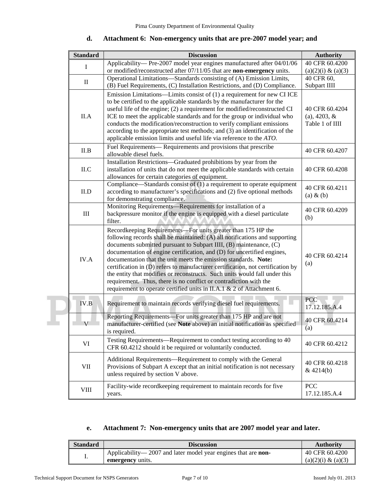| <b>Standard</b> | <b>Discussion</b>                                                                                                                                                                                                                                                                                                                                                                                                                                                                                                                                                                                                                                                              | <b>Authority</b>                                     |
|-----------------|--------------------------------------------------------------------------------------------------------------------------------------------------------------------------------------------------------------------------------------------------------------------------------------------------------------------------------------------------------------------------------------------------------------------------------------------------------------------------------------------------------------------------------------------------------------------------------------------------------------------------------------------------------------------------------|------------------------------------------------------|
| I               | Applicability-Pre-2007 model year engines manufactured after 04/01/06                                                                                                                                                                                                                                                                                                                                                                                                                                                                                                                                                                                                          | 40 CFR 60.4200                                       |
|                 | or modified/reconstructed after 07/11/05 that are non-emergency units.                                                                                                                                                                                                                                                                                                                                                                                                                                                                                                                                                                                                         | $(a)(2)(i) \& (a)(3)$                                |
| $\mathbf{I}$    | Operational Limitations—Standards consisting of (A) Emission Limits,                                                                                                                                                                                                                                                                                                                                                                                                                                                                                                                                                                                                           | 40 CFR 60,                                           |
|                 | (B) Fuel Requirements, (C) Installation Restrictions, and (D) Compliance.                                                                                                                                                                                                                                                                                                                                                                                                                                                                                                                                                                                                      | Subpart IIII                                         |
| II.A            | Emission Limitations-Limits consist of (1) a requirement for new CI ICE<br>to be certified to the applicable standards by the manufacturer for the<br>useful life of the engine; (2) a requirement for modified/reconstructed CI<br>ICE to meet the applicable standards and for the group or individual who<br>conducts the modification/reconstruction to verify compliant emissions<br>according to the appropriate test methods; and (3) an identification of the<br>applicable emission limits and useful life via reference to the $ATO$ .                                                                                                                               | 40 CFR 60.4204<br>$(a)$ , 4203, &<br>Table 1 of IIII |
| II.B            | Fuel Requirements— Requirements and provisions that prescribe<br>allowable diesel fuels.                                                                                                                                                                                                                                                                                                                                                                                                                                                                                                                                                                                       | 40 CFR 60.4207                                       |
| ILC             | Installation Restrictions-Graduated prohibitions by year from the<br>installation of units that do not meet the applicable standards with certain<br>allowances for certain categories of equipment.                                                                                                                                                                                                                                                                                                                                                                                                                                                                           | 40 CFR 60.4208                                       |
| II.D            | Compliance—Standards consist of $(1)$ a requirement to operate equipment<br>according to manufacturer's specifications and (2) five optional methods<br>for demonstrating compliance.                                                                                                                                                                                                                                                                                                                                                                                                                                                                                          | 40 CFR 60.4211<br>$(a)$ & $(b)$                      |
| $\rm III$       | Monitoring Requirements—Requirements for installation of a<br>backpressure monitor if the engine is equipped with a diesel particulate<br>filter.                                                                                                                                                                                                                                                                                                                                                                                                                                                                                                                              | 40 CFR 60.4209<br>(b)                                |
| IV.A            | Recordkeeping Requirements-For units greater than 175 HP the<br>following records shall be maintained: (A) all notifications and supporting<br>documents submitted pursuant to Subpart IIII, (B) maintenance, (C)<br>documentation of engine certification, and (D) for uncertified engines,<br>documentation that the unit meets the emission standards. Note:<br>certification in (D) refers to manufacturer certification, not certification by<br>the entity that modifies or reconstructs. Such units would fall under this<br>requirement. Thus, there is no conflict or contradiction with the<br>requirement to operate certified units in II.A.1 & 2 of Attachment 6. | 40 CFR 60.4214<br>(a)                                |
| IV.B            | Requirement to maintain records verifying diesel fuel requirements.                                                                                                                                                                                                                                                                                                                                                                                                                                                                                                                                                                                                            | <b>PCC</b><br>17.12.185.A.4                          |
|                 | Reporting Requirements-For units greater than 175 HP and are not<br>manufacturer-certified (see Note above) an initial notification as specified<br>is required.                                                                                                                                                                                                                                                                                                                                                                                                                                                                                                               | 40 CFR 60.4214<br>(a)                                |
| VI              | Testing Requirements—Requirement to conduct testing according to 40<br>CFR 60.4212 should it be required or voluntarily conducted.                                                                                                                                                                                                                                                                                                                                                                                                                                                                                                                                             | 40 CFR 60.4212                                       |
| VII             | Additional Requirements-Requirement to comply with the General<br>Provisions of Subpart A except that an initial notification is not necessary<br>unless required by section V above.                                                                                                                                                                                                                                                                                                                                                                                                                                                                                          | 40 CFR 60.4218<br>& 4214(b)                          |
| <b>VIII</b>     | Facility-wide recordkeeping requirement to maintain records for five<br>years.                                                                                                                                                                                                                                                                                                                                                                                                                                                                                                                                                                                                 | <b>PCC</b><br>17.12.185.A.4                          |

## **d. Attachment 6: Non-emergency units that are pre-2007 model year; and**

# **e. Attachment 7: Non-emergency units that are 2007 model year and later.**

| <b>Standard</b> | <b>Discussion</b>                                                    | <b>Authority</b>      |
|-----------------|----------------------------------------------------------------------|-----------------------|
|                 | Applicability—2007 and later model year engines that are <b>non-</b> | 40 CFR 60.4200        |
| ı.              | <b>emergency</b> units.                                              | $(a)(2)(i) \& (a)(3)$ |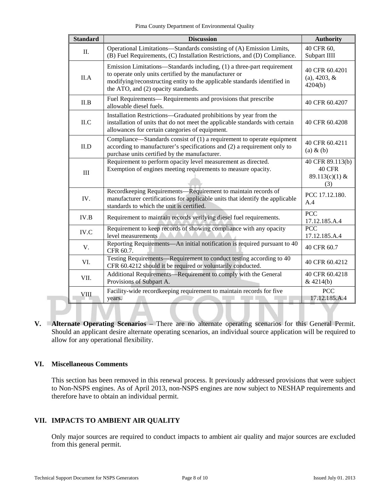Pima County Department of Environmental Quality

| <b>Standard</b> | <b>Discussion</b>                                                                                                                                                                                                                                    | <b>Authority</b>                                           |
|-----------------|------------------------------------------------------------------------------------------------------------------------------------------------------------------------------------------------------------------------------------------------------|------------------------------------------------------------|
| $\Pi$ .         | Operational Limitations-Standards consisting of (A) Emission Limits,<br>(B) Fuel Requirements, (C) Installation Restrictions, and (D) Compliance.                                                                                                    | 40 CFR 60,<br>Subpart IIII                                 |
| II.A            | Emission Limitations—Standards including, (1) a three-part requirement<br>to operate only units certified by the manufacturer or<br>modifying/reconstructing entity to the applicable standards identified in<br>the ATO, and (2) opacity standards. | 40 CFR 60.4201<br>$(a)$ , 4203, &<br>4204(b)               |
| II.B            | Fuel Requirements— Requirements and provisions that prescribe<br>allowable diesel fuels.                                                                                                                                                             | 40 CFR 60.4207                                             |
| II.C            | Installation Restrictions—Graduated prohibitions by year from the<br>installation of units that do not meet the applicable standards with certain<br>allowances for certain categories of equipment.                                                 | 40 CFR 60.4208                                             |
| II.D            | Compliance—Standards consist of (1) a requirement to operate equipment<br>according to manufacturer's specifications and (2) a requirement only to<br>purchase units certified by the manufacturer.                                                  | 40 CFR 60.4211<br>$(a) \& (b)$                             |
| $\rm III$       | Requirement to perform opacity level measurement as directed.<br>Exemption of engines meeting requirements to measure opacity.                                                                                                                       | 40 CFR 89.113(b)<br><b>40 CFR</b><br>89.113(c)(1) &<br>(3) |
| IV.             | Recordkeeping Requirements—Requirement to maintain records of<br>manufacturer certifications for applicable units that identify the applicable<br>standards to which the unit is certified.                                                          | PCC 17.12.180.<br>A.4                                      |
| IV.B            | Requirement to maintain records verifying diesel fuel requirements.                                                                                                                                                                                  | <b>PCC</b><br>17.12.185.A.4                                |
| IV.C            | Requirement to keep records of showing compliance with any opacity<br>level measurements                                                                                                                                                             | <b>PCC</b><br>17.12.185.A.4                                |
| V.              | Reporting Requirements—An initial notification is required pursuant to 40<br>CFR 60.7.                                                                                                                                                               | 40 CFR 60.7                                                |
| VI.             | Testing Requirements—Requirement to conduct testing according to 40<br>CFR 60.4212 should it be required or voluntarily conducted.                                                                                                                   | 40 CFR 60.4212                                             |
| VII.            | Additional Requirements—Requirement to comply with the General<br>Provisions of Subpart A.                                                                                                                                                           | 40 CFR 60.4218<br>&4214(b)                                 |
| <b>VIII</b>     | Facility-wide recordkeeping requirement to maintain records for five<br>years.                                                                                                                                                                       | <b>PCC</b><br>17.12.185.A.4                                |

**V. Alternate Operating Scenarios** – There are no alternate operating scenarios for this General Permit. Should an applicant desire alternate operating scenarios, an individual source application will be required to allow for any operational flexibility.

# **VI. Miscellaneous Comments**

This section has been removed in this renewal process. It previously addressed provisions that were subject to Non-NSPS engines. As of April 2013, non-NSPS engines are now subject to NESHAP requirements and therefore have to obtain an individual permit.

# **VII. IMPACTS TO AMBIENT AIR QUALITY**

Only major sources are required to conduct impacts to ambient air quality and major sources are excluded from this general permit.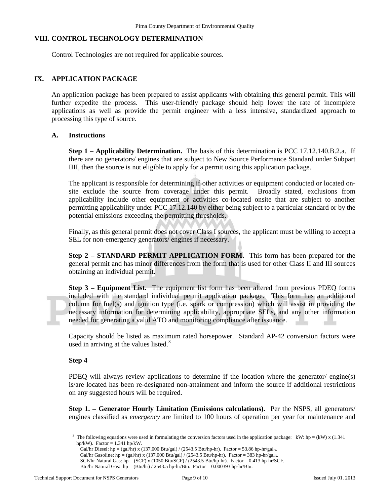## **VIII. CONTROL TECHNOLOGY DETERMINATION**

Control Technologies are not required for applicable sources.

#### **IX. APPLICATION PACKAGE**

An application package has been prepared to assist applicants with obtaining this general permit. This will further expedite the process. This user-friendly package should help lower the rate of incomplete applications as well as provide the permit engineer with a less intensive, standardized approach to processing this type of source.

#### **A. Instructions**

**Step 1 – Applicability Determination.** The basis of this determination is PCC 17.12.140.B.2.a. If there are no generators/ engines that are subject to New Source Performance Standard under Subpart IIII, then the source is not eligible to apply for a permit using this application package.

The applicant is responsible for determining if other activities or equipment conducted or located onsite exclude the source from coverage under this permit. Broadly stated, exclusions from applicability include other equipment or activities co-located onsite that are subject to another permitting applicability under PCC 17.12.140 by either being subject to a particular standard or by the potential emissions exceeding the permitting thresholds.

Finally, as this general permit does not cover Class I sources, the applicant must be willing to accept a SEL for non-emergency generators/ engines if necessary.

**Step 2 – STANDARD PERMIT APPLICATION FORM.** This form has been prepared for the general permit and has minor differences from the form that is used for other Class II and III sources obtaining an individual permit.

**Step 3 – Equipment List.** The equipment list form has been altered from previous PDEQ forms included with the standard individual permit application package. This form has an additional column for fuel(s) and ignition type (i.e. spark or compression) which will assist in providing the necessary information for determining applicability, appropriate SELs, and any other information needed for generating a valid ATO and monitoring compliance after issuance.

Capacity should be listed as maximum rated horsepower. Standard AP-42 conversion factors were used in arriving at the values listed. $3$ 

#### **Step 4**

<span id="page-8-0"></span> $\overline{a}$ 

PDEQ will always review applications to determine if the location where the generator/ engine(s) is/are located has been re-designated non-attainment and inform the source if additional restrictions on any suggested hours will be required.

**Step 1. – Generator Hourly Limitation (Emissions calculations).** Per the NSPS, all generators/ engines classified as *emergency* are limited to 100 hours of operation per year for maintenance and

<sup>3</sup> The following equations were used in formulating the conversion factors used in the application package: kW: hp = (kW) x (1.341) hp/kW). Factor  $= 1.341$  hp/kW.

Gal/hr Diesel: hp = (gal/hr) x (137,000 Btu/gal) / (2543.5 Btu/hp-hr). Factor = 53.86 hp-hr/gal<sub>D</sub>.

Gal/hr Gasoline: hp = (gal/hr) x (137,000 Btu/gal) / (2543.5 Btu/hp-hr). Factor = 383 hp-hr/gal<sub>G</sub>.

SCF/hr Natural Gas:  $hp = (SCF) \times (1050 Btu/SCF) / (2543.5 Btu/hp-hr)$ . Factor = 0.413 hp-hr/SCF.

Btu/hr Natural Gas:  $hp = (Btu/hr) / 2543.5 hp-hr/Btu$ . Factor = 0.000393 hp-hr/Btu.